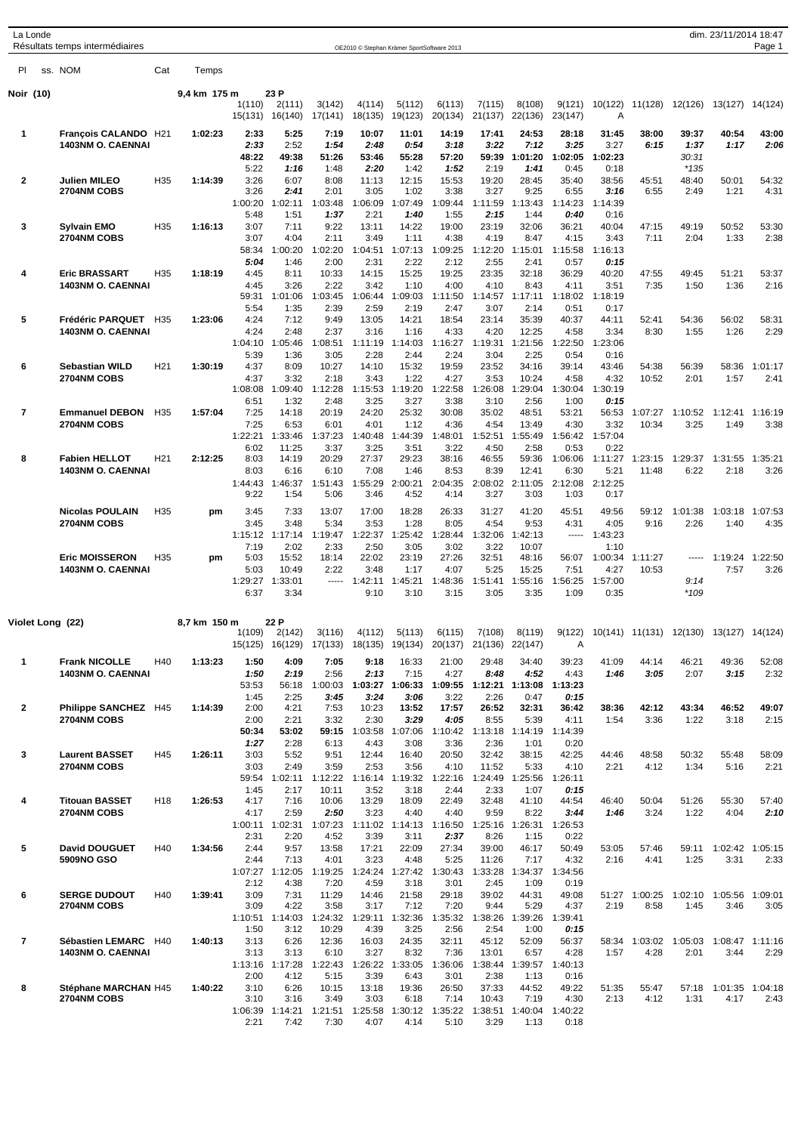|                | La Londe | Résultats temps intermédiaires                   |                 |              |                   |                           |                   | OE2010 © Stephan Krämer SportSoftware 2013 |                   |                   |                   |                         |                   |                 |                  |                                         | dim. 23/11/2014 18:47   | Page 1          |
|----------------|----------|--------------------------------------------------|-----------------|--------------|-------------------|---------------------------|-------------------|--------------------------------------------|-------------------|-------------------|-------------------|-------------------------|-------------------|-----------------|------------------|-----------------------------------------|-------------------------|-----------------|
| PI             |          | ss. NOM                                          | Cat             | Temps        |                   |                           |                   |                                            |                   |                   |                   |                         |                   |                 |                  |                                         |                         |                 |
| Noir (10)      |          |                                                  |                 | 9,4 km 175 m |                   | 23 P                      |                   |                                            |                   |                   |                   |                         |                   |                 |                  |                                         |                         |                 |
|                |          |                                                  |                 |              | 1(110)<br>15(131) | 2(111)<br>16(140)         | 3(142)<br>17(141) | 4(114)<br>18(135)                          | 5(112)<br>19(123) | 6(113)<br>20(134) | 7(115)<br>21(137) | 8(108)<br>22(136)       | 9(121)<br>23(147) | 10(122)<br>Α    | 11(128)          | 12(126)                                 | 13(127)                 | 14(124)         |
| $\mathbf 1$    |          | François CALANDO H21                             |                 | 1:02:23      | 2:33              | 5:25                      | 7:19              | 10:07                                      | 11:01             | 14:19             | 17:41             | 24:53                   | 28:18             | 31:45           | 38:00            | 39:37                                   | 40:54                   | 43:00           |
|                |          | 1403NM O. CAENNAI                                |                 |              | 2:33              | 2:52                      | 1:54              | 2:48                                       | 0:54              | 3:18              | 3:22              | 7:12                    | 3:25              | 3:27            | 6:15             | 1:37                                    | 1:17                    | 2:06            |
|                |          |                                                  |                 |              | 48:22<br>5:22     | 49:38<br>1:16             | 51:26<br>1:48     | 53:46<br>2:20                              | 55:28<br>1:42     | 57:20<br>1:52     | 59:39<br>2:19     | 1:01:20<br>1:41         | 1:02:05<br>0:45   | 1:02:23<br>0:18 |                  | 30:31<br>$*135$                         |                         |                 |
| $\overline{2}$ |          | Julien MILEO                                     | H <sub>35</sub> | 1:14:39      | 3:26              | 6:07                      | 8:08              | 11:13                                      | 12:15             | 15:53             | 19:20             | 28:45                   | 35:40             | 38:56           | 45:51            | 48:40                                   | 50:01                   | 54:32           |
|                |          | 2704NM COBS                                      |                 |              | 3:26              | 2:41                      | 2:01              | 3:05                                       | 1:02              | 3:38              | 3:27              | 9:25                    | 6:55              | 3:16            | 6:55             | 2:49                                    | 1:21                    | 4:31            |
|                |          |                                                  |                 |              | 1:00:20<br>5:48   | 1:02:11<br>1:51           | 1:03:48<br>1:37   | 1:06:09<br>2:21                            | 1:07:49<br>1:40   | 1:09:44<br>1:55   | 1:11:59<br>2:15   | 1:13:43<br>1:44         | 1:14:23<br>0:40   | 1:14:39<br>0:16 |                  |                                         |                         |                 |
| 3              |          | <b>Sylvain EMO</b>                               | H35             | 1:16:13      | 3:07              | 7:11                      | 9:22              | 13:11                                      | 14:22             | 19:00             | 23:19             | 32:06                   | 36:21             | 40:04           | 47:15            | 49:19                                   | 50:52                   | 53:30           |
|                |          | 2704NM COBS                                      |                 |              | 3:07<br>58:34     | 4:04<br>1:00:20           | 2:11<br>1:02:20   | 3:49<br>1:04:51                            | 1:11<br>1:07:13   | 4:38<br>1:09:25   | 4:19<br>1:12:20   | 8:47<br>1:15:01         | 4:15<br>1:15:58   | 3:43<br>1:16:13 | 7:11             | 2:04                                    | 1:33                    | 2:38            |
|                |          |                                                  |                 |              | 5:04              | 1:46                      | 2:00              | 2:31                                       | 2:22              | 2:12              | 2:55              | 2:41                    | 0:57              | 0:15            |                  |                                         |                         |                 |
| 4              |          | <b>Eric BRASSART</b><br><b>1403NM O. CAENNAI</b> | H35             | 1:18:19      | 4:45<br>4:45      | 8:11<br>3:26              | 10:33<br>2:22     | 14:15<br>3:42                              | 15:25<br>1:10     | 19:25<br>4:00     | 23:35<br>4:10     | 32:18<br>8:43           | 36:29<br>4:11     | 40:20<br>3:51   | 47:55<br>7:35    | 49:45<br>1:50                           | 51:21<br>1:36           | 53:37<br>2:16   |
|                |          |                                                  |                 |              | 59:31             | 1:01:06                   | 1:03:45           | 1:06:44                                    | 1:09:03           | 1:11:50           | 1:14:57           | 1:17:11                 | 1:18:02           | 1:18:19         |                  |                                         |                         |                 |
| 5              |          | Frédéric PARQUET                                 | H <sub>35</sub> | 1:23:06      | 5:54<br>4:24      | 1:35<br>7:12              | 2:39<br>9:49      | 2:59<br>13:05                              | 2:19<br>14:21     | 2:47<br>18:54     | 3:07<br>23:14     | 2:14<br>35:39           | 0:51<br>40:37     | 0:17<br>44:11   | 52:41            | 54:36                                   | 56:02                   | 58:31           |
|                |          | <b>1403NM O. CAENNAI</b>                         |                 |              | 4:24              | 2:48                      | 2:37              | 3:16                                       | 1:16              | 4:33              | 4:20              | 12:25                   | 4:58              | 3:34            | 8:30             | 1:55                                    | 1:26                    | 2:29            |
|                |          |                                                  |                 |              | 1:04:10<br>5:39   | 1:05:46<br>1:36           | 1:08:51<br>3:05   | 1:11:19<br>2:28                            | 1:14:03<br>2:44   | 1:16:27<br>2:24   | 1:19:31<br>3:04   | 1:21:56<br>2:25         | 1:22:50<br>0:54   | 1:23:06<br>0:16 |                  |                                         |                         |                 |
| 6              |          | <b>Sebastian WILD</b>                            | H <sub>21</sub> | 1:30:19      | 4:37              | 8:09                      | 10:27             | 14:10                                      | 15:32             | 19:59             | 23:52             | 34:16                   | 39:14             | 43:46           | 54:38            | 56:39                                   | 58:36                   | 1:01:17         |
|                |          | 2704NM COBS                                      |                 |              | 4:37<br>1:08:08   | 3:32<br>1:09:40           | 2:18<br>1:12:28   | 3:43<br>1:15:53                            | 1:22<br>1:19:20   | 4:27<br>1:22:58   | 3:53<br>1:26:08   | 10:24<br>1:29:04        | 4:58<br>1:30:04   | 4:32<br>1:30:19 | 10:52            | 2:01                                    | 1:57                    | 2:41            |
|                |          |                                                  |                 |              | 6:51              | 1:32                      | 2:48              | 3:25                                       | 3:27              | 3:38              | 3:10              | 2:56                    | 1:00              | 0:15            |                  |                                         |                         |                 |
| 7              |          | <b>Emmanuel DEBON</b>                            | H <sub>35</sub> | 1:57:04      | 7:25              | 14:18                     | 20:19             | 24:20                                      | 25:32             | 30:08             | 35:02             | 48:51                   | 53:21             | 56:53           | 1:07:27          | 1:10:52                                 | 1:12:41                 | 1:16:19         |
|                |          | 2704NM COBS                                      |                 |              | 7:25<br>1:22:21   | 6:53<br>1:33:46           | 6:01<br>1:37:23   | 4:01<br>1:40:48                            | 1:12<br>1:44:39   | 4:36<br>1:48:01   | 4:54<br>1:52:51   | 13:49<br>1:55:49        | 4:30<br>1:56:42   | 3:32<br>1:57:04 | 10:34            | 3:25                                    | 1:49                    | 3:38            |
|                |          |                                                  |                 |              | 6:02              | 11:25                     | 3:37              | 3:25                                       | 3:51              | 3:22              | 4:50              | 2:58                    | 0:53              | 0:22            |                  |                                         |                         |                 |
| 8              |          | <b>Fabien HELLOT</b><br><b>1403NM O. CAENNAI</b> | H <sub>21</sub> | 2:12:25      | 8:03<br>8:03      | 14:19<br>6:16             | 20:29<br>6:10     | 27:37<br>7:08                              | 29:23<br>1:46     | 38:16<br>8:53     | 46:55<br>8:39     | 59:36<br>12:41          | 1:06:06<br>6:30   | 1:11:27<br>5:21 | 1:23:15<br>11:48 | 1:29:37<br>6:22                         | 1:31:55<br>2:18         | 1:35:21<br>3:26 |
|                |          |                                                  |                 |              | 1:44:43           | 1:46:37                   | 1:51:43           | 1:55:29                                    | 2:00:21           | 2:04:35           | 2:08:02           | 2:11:05                 | 2:12:08           | 2:12:25         |                  |                                         |                         |                 |
|                |          |                                                  |                 |              | 9:22              | 1:54                      | 5:06              | 3:46                                       | 4:52              | 4:14              | 3:27              | 3:03                    | 1:03              | 0:17            |                  |                                         |                         |                 |
|                |          | <b>Nicolas POULAIN</b><br>2704NM COBS            | H35             | pm           | 3:45<br>3:45      | 7:33<br>3:48              | 13:07<br>5:34     | 17:00<br>3:53                              | 18:28<br>1:28     | 26:33<br>8:05     | 31:27<br>4:54     | 41:20<br>9:53           | 45:51<br>4:31     | 49:56<br>4:05   | 59:12<br>9:16    | 1:01:38<br>2:26                         | 1:03:18<br>1:40         | 1:07:53<br>4:35 |
|                |          |                                                  |                 |              | 1:15:12           | 1:17:14                   | 1:19:47           | 1:22:37                                    | :25:42            | 1:28:44           | 1:32:06           | 1:42:13                 | -----             | 1:43:23         |                  |                                         |                         |                 |
|                |          | <b>Eric MOISSERON</b>                            | H35             | pm           | 7:19<br>5:03      | 2:02<br>15:52             | 2:33<br>18:14     | 2:50<br>22:02                              | 3:05<br>23:19     | 3:02<br>27:26     | 3:22<br>32:51     | 10:07<br>48:16          | 56:07             | 1:10<br>1:00:34 | 1:11:27          | -----                                   | 1:19:24                 | 1:22:50         |
|                |          | <b>1403NM O. CAENNAI</b>                         |                 |              | 5:03              | 10:49                     | 2:22              | 3:48                                       | 1:17              | 4:07              | 5:25              | 15:25                   | 7:51              | 4:27            | 10:53            |                                         | 7:57                    | 3:26            |
|                |          |                                                  |                 |              | 1:29:27           | 1:33:01                   | -----             | 1:42:11                                    | 1:45:21           | 1:48:36           | 1:51:41           | 1:55:16                 | 1:56:25           | 1:57:00         |                  | 9:14<br>$*109$                          |                         |                 |
|                |          |                                                  |                 |              | 6:37              | 3:34                      |                   | 9:10                                       | 3:10              | 3:15              | 3:05              | 3:35                    | 1:09              | 0:35            |                  |                                         |                         |                 |
|                |          | Violet Long (22)                                 |                 | 8,7 km 150 m |                   | 22 P                      |                   |                                            |                   |                   |                   |                         |                   |                 |                  |                                         |                         |                 |
|                |          |                                                  |                 |              | 1(109)            | 2(142)<br>15(125) 16(129) | 3(116)<br>17(133) | 4(112)<br>18(135)                          | 5(113)<br>19(134) | 6(115)<br>20(137) | 7(108)<br>21(136) | 8(119)<br>22(147)       | 9(122)<br>Α       |                 |                  | 10(141) 11(131) 12(130) 13(127) 14(124) |                         |                 |
| 1              |          | <b>Frank NICOLLE</b>                             | H40             | 1:13:23      | 1:50              | 4:09                      | 7:05              | 9:18                                       | 16:33             | 21:00             | 29:48             | 34:40                   | 39:23             | 41:09           | 44:14            | 46:21                                   | 49:36                   | 52:08           |
|                |          | 1403NM O. CAENNAI                                |                 |              | 1:50              | 2:19                      | 2:56              | 2:13                                       | 7:15              | 4:27              | 8:48              | 4:52                    | 4:43              | 1:46            | 3:05             | 2:07                                    | 3:15                    | 2:32            |
|                |          |                                                  |                 |              | 53:53<br>1:45     | 56:18<br>2:25             | 3:45              | 1:00:03 1:03:27<br>3:24                    | 1:06:33<br>3:06   | 1:09:55<br>3:22   | 2:26              | 1:12:21 1:13:08<br>0:47 | 1:13:23<br>0:15   |                 |                  |                                         |                         |                 |
| $\mathbf{2}$   |          | Philippe SANCHEZ H45                             |                 | 1:14:39      | 2:00              | 4:21                      | 7:53              | 10:23                                      | 13:52             | 17:57             | 26:52             | 32:31                   | 36:42             | 38:36           | 42:12            | 43:34                                   | 46:52                   | 49:07           |
|                |          | 2704NM COBS                                      |                 |              | 2:00<br>50:34     | 2:21<br>53:02             | 3:32<br>59:15     | 2:30<br>1:03:58                            | 3:29<br>1:07:06   | 4:05<br>1:10:42   | 8:55<br>1:13:18   | 5:39<br>1:14:19         | 4:11<br>1:14:39   | 1:54            | 3:36             | 1:22                                    | 3:18                    | 2:15            |
|                |          |                                                  |                 |              | 1:27              | 2:28                      | 6:13              | 4:43                                       | 3:08              | 3:36              | 2:36              | 1:01                    | 0:20              |                 |                  |                                         |                         |                 |
| 3              |          | <b>Laurent BASSET</b><br>2704NM COBS             | H45             | 1:26:11      | 3:03<br>3:03      | 5:52<br>2:49              | 9:51<br>3:59      | 12:44<br>2:53                              | 16:40<br>3:56     | 20:50<br>4:10     | 32:42<br>11:52    | 38:15<br>5:33           | 42:25<br>4:10     | 44:46<br>2:21   | 48:58<br>4:12    | 50:32<br>1:34                           | 55:48<br>5:16           | 58:09<br>2:21   |
|                |          |                                                  |                 |              | 59:54             | 1:02:11                   | 1:12:22           | 1:16:14                                    | 1:19:32           | 1:22:16           | 1:24:49           | 1:25:56                 | 1:26:11           |                 |                  |                                         |                         |                 |
| 4              |          | <b>Titouan BASSET</b>                            | H <sub>18</sub> | 1:26:53      | 1:45<br>4:17      | 2:17<br>7:16              | 10:11<br>10:06    | 3:52<br>13:29                              | 3:18<br>18:09     | 2:44<br>22:49     | 2:33<br>32:48     | 1:07<br>41:10           | 0:15<br>44:54     | 46:40           | 50:04            | 51:26                                   | 55:30                   | 57:40           |
|                |          | 2704NM COBS                                      |                 |              | 4:17              | 2:59                      | 2:50              | 3:23                                       | 4:40              | 4:40              | 9:59              | 8:22                    | 3:44              | 1:46            | 3:24             | 1:22                                    | 4:04                    | 2:10            |
|                |          |                                                  |                 |              | 1:00:11<br>2:31   | 1:02:31<br>2:20           | 1:07:23<br>4:52   | 1:11:02<br>3:39                            | 1:14:13<br>3:11   | 1:16:50<br>2:37   | 1:25:16<br>8:26   | 1:26:31<br>1:15         | 1:26:53<br>0:22   |                 |                  |                                         |                         |                 |
| 5              |          | <b>David DOUGUET</b>                             | H40             | 1:34:56      | 2:44              | 9:57                      | 13:58             | 17:21                                      | 22:09             | 27:34             | 39:00             | 46:17                   | 50:49             | 53:05           | 57:46            | 59:11                                   | 1:02:42 1:05:15         |                 |
|                |          | 5909NO GSO                                       |                 |              | 2:44<br>1:07:27   | 7:13<br>1:12:05           | 4:01<br>1:19:25   | 3:23<br>1:24:24                            | 4:48<br>1:27:42   | 5:25<br>1:30:43   | 11:26<br>1:33:28  | 7:17<br>1:34:37         | 4:32<br>1:34:56   | 2:16            | 4:41             | 1:25                                    | 3:31                    | 2:33            |
|                |          |                                                  |                 |              | 2:12              | 4:38                      | 7:20              | 4:59                                       | 3:18              | 3:01              | 2:45              | 1:09                    | 0:19              |                 |                  |                                         |                         |                 |
| 6              |          | <b>SERGE DUDOUT</b><br>2704NM COBS               | H40             | 1:39:41      | 3:09<br>3:09      | 7:31<br>4:22              | 11:29<br>3:58     | 14:46<br>3:17                              | 21:58<br>7:12     | 29:18<br>7:20     | 39:02<br>9:44     | 44:31<br>5:29           | 49:08<br>4:37     | 51:27<br>2:19   | 1:00:25<br>8:58  | 1:02:10<br>1:45                         | 1:05:56<br>3:46         | 1:09:01<br>3:05 |
|                |          |                                                  |                 |              |                   | 1:10:51 1:14:03           | 1:24:32           | 1:29:11                                    | 1:32:36           | 1:35:32           | 1:38:26           | 1:39:26                 | 1:39:41           |                 |                  |                                         |                         |                 |
|                |          |                                                  |                 |              | 1:50              | 3:12                      | 10:29             | 4:39                                       | 3:25              | 2:56              | 2:54              | 1:00                    | 0:15              |                 |                  |                                         |                         |                 |
| $\overline{7}$ |          | Sébastien LEMARC H40<br><b>1403NM O. CAENNAI</b> |                 | 1:40:13      | 3:13<br>3:13      | 6:26<br>3:13              | 12:36<br>6:10     | 16:03<br>3:27                              | 24:35<br>8:32     | 32:11<br>7:36     | 45:12<br>13:01    | 52:09<br>6:57           | 56:37<br>4:28     | 58:34<br>1:57   | 1:03:02<br>4:28  | 1:05:03<br>2:01                         | 1:08:47 1:11:16<br>3:44 | 2:29            |
|                |          |                                                  |                 |              | 1:13:16           | 1:17:28                   | 1:22:43           | 1:26:22                                    | 1:33:05           | 1:36:06           | 1:38:44           | 1:39:57                 | 1:40:13           |                 |                  |                                         |                         |                 |
| 8              |          | Stéphane MARCHAN H45                             |                 | 1:40:22      | 2:00<br>3:10      | 4:12<br>6:26              | 5:15<br>10:15     | 3:39<br>13:18                              | 6:43<br>19:36     | 3:01<br>26:50     | 2:38<br>37:33     | 1:13<br>44:52           | 0:16<br>49:22     | 51:35           | 55:47            | 57:18                                   | 1:01:35 1:04:18         |                 |
|                |          | 2704NM COBS                                      |                 |              | 3:10              | 3:16                      | 3:49              | 3:03                                       | 6:18              | 7:14              | 10:43             | 7:19                    | 4:30              | 2:13            | 4:12             | 1:31                                    | 4:17                    | 2:43            |
|                |          |                                                  |                 |              | 1:06:39<br>2:21   | 1:14:21<br>7:42           | 1:21:51<br>7:30   | 1:25:58<br>4:07                            | 1:30:12<br>4:14   | 1:35:22<br>5:10   | 1:38:51<br>3:29   | 1:40:04<br>1:13         | 1:40:22<br>0:18   |                 |                  |                                         |                         |                 |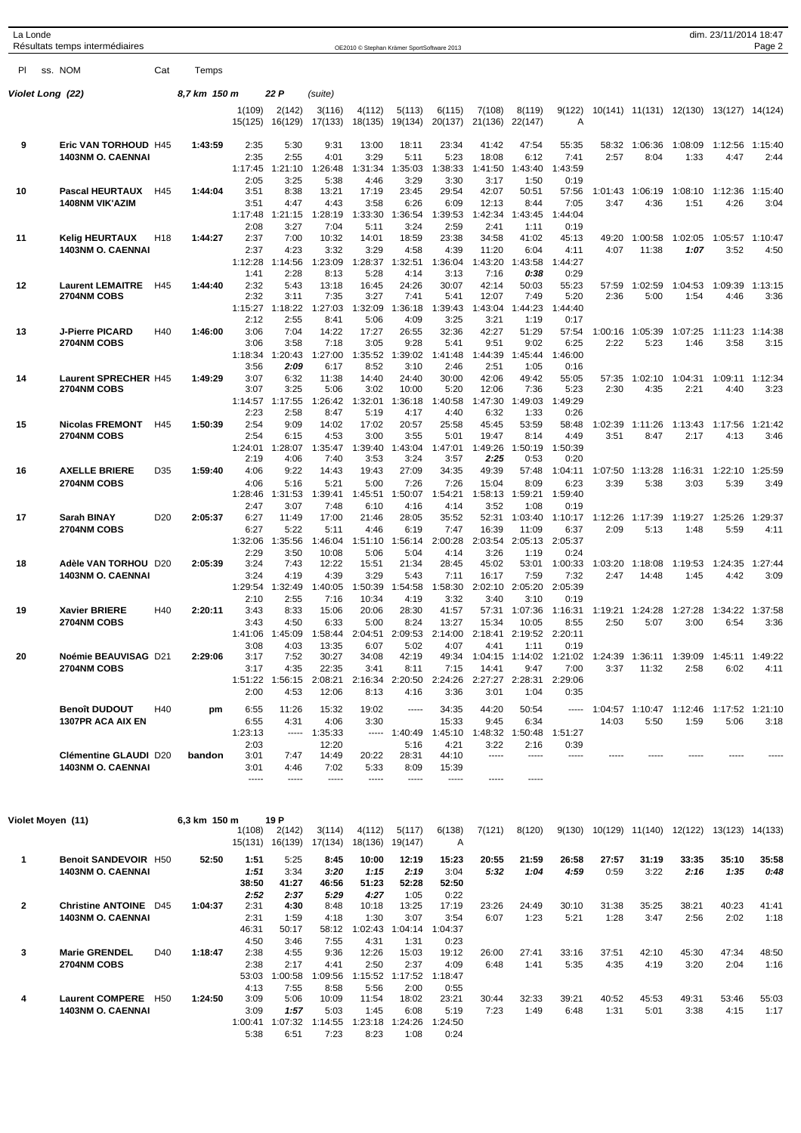| La Londe          | Résultats temps intermédiaires                           |                 |              |                   |                                   |                   |                   | OE2010 © Stephan Krämer SportSoftware 2013 |                   |                                  |                         |                 |                                                |                  |                                         | dim. 23/11/2014 18:47 | Page 2          |
|-------------------|----------------------------------------------------------|-----------------|--------------|-------------------|-----------------------------------|-------------------|-------------------|--------------------------------------------|-------------------|----------------------------------|-------------------------|-----------------|------------------------------------------------|------------------|-----------------------------------------|-----------------------|-----------------|
| PI.               | ss. NOM                                                  | Cat             | Temps        |                   |                                   |                   |                   |                                            |                   |                                  |                         |                 |                                                |                  |                                         |                       |                 |
| Violet Long  (22) |                                                          |                 | 8,7 km 150 m |                   | 22 P                              | (suite)           |                   |                                            |                   |                                  |                         |                 |                                                |                  |                                         |                       |                 |
|                   |                                                          |                 |              | 1(109)<br>15(125) | 2(142)<br>16(129)                 | 3(116)<br>17(133) | 4(112)<br>18(135) | 5(113)<br>19(134)                          | 6(115)<br>20(137) | 7(108)<br>21(136)                | 8(119)<br>22(147)       | 9(122)<br>Α     |                                                |                  | 10(141) 11(131) 12(130) 13(127) 14(124) |                       |                 |
|                   |                                                          |                 |              |                   |                                   |                   |                   |                                            |                   |                                  |                         |                 |                                                |                  |                                         |                       |                 |
| 9                 | Eric VAN TORHOUD H45<br><b>1403NM O. CAENNAI</b>         |                 | 1:43:59      | 2:35<br>2:35      | 5:30<br>2:55                      | 9:31<br>4:01      | 13:00<br>3:29     | 18:11<br>5:11                              | 23:34<br>5:23     | 41:42<br>18:08                   | 47:54<br>6:12           | 55:35<br>7:41   | 58:32<br>2:57                                  | 1:06:36<br>8:04  | 1:08:09<br>1:33                         | 1:12:56<br>4:47       | 1:15:40<br>2:44 |
|                   |                                                          |                 |              | 1:17:45<br>2:05   | 1:21:10<br>3:25                   | 1:26:48<br>5:38   | 1:31:34<br>4:46   | 1:35:03<br>3:29                            | 1:38:33<br>3:30   | 1:41:50<br>3:17                  | 1:43:40<br>1:50         | 1:43:59<br>0:19 |                                                |                  |                                         |                       |                 |
| 10                | <b>Pascal HEURTAUX</b>                                   | H45             | 1:44:04      | 3:51              | 8:38                              | 13:21             | 17:19             | 23:45                                      | 29:54             | 42:07                            | 50:51                   | 57:56           | 1:01:43                                        | 1:06:19          | 1:08:10                                 | 1:12:36               | 1:15:40         |
|                   | <b>1408NM VIK'AZIM</b>                                   |                 |              | 3:51<br>1:17:48   | 4:47<br>1:21:15                   | 4:43<br>1:28:19   | 3:58<br>1:33:30   | 6:26<br>1:36:54                            | 6:09<br>1:39:53   | 12:13<br>1:42:34                 | 8:44<br>1:43:45         | 7:05<br>1:44:04 | 3:47                                           | 4:36             | 1:51                                    | 4:26                  | 3:04            |
|                   |                                                          |                 |              | 2:08              | 3:27                              | 7:04              | 5:11              | 3:24                                       | 2:59              | 2:41                             | 1:11                    | 0:19            |                                                |                  |                                         |                       |                 |
| 11                | <b>Kelig HEURTAUX</b><br><b>1403NM O. CAENNAI</b>        | H <sub>18</sub> | 1:44:27      | 2:37<br>2:37      | 7:00<br>4:23                      | 10:32<br>3:32     | 14:01<br>3:29     | 18:59<br>4:58                              | 23:38<br>4:39     | 34:58<br>11:20                   | 41:02<br>6:04           | 45:13<br>4:11   | 49:20<br>4:07                                  | 1:00:58<br>11:38 | 1:02:05<br>1:07                         | 1:05:57<br>3:52       | 1:10:47<br>4:50 |
|                   |                                                          |                 |              | 1:12:28           | 1:14:56                           | 1:23:09           | 1:28:37           | 1:32:51                                    | 1:36:04           | 1:43:20                          | 1:43:58                 | 1:44:27         |                                                |                  |                                         |                       |                 |
| 12                | <b>Laurent LEMAITRE</b>                                  | H45             | 1:44:40      | 1:41<br>2:32      | 2:28<br>5:43                      | 8:13<br>13:18     | 5:28<br>16:45     | 4:14<br>24:26                              | 3:13<br>30:07     | 7:16<br>42:14                    | 0:38<br>50:03           | 0:29<br>55:23   | 57:59                                          | 1:02:59          | 1:04:53                                 | 1:09:39               | 1:13:15         |
|                   | <b>2704NM COBS</b>                                       |                 |              | 2:32              | 3:11                              | 7:35              | 3:27              | 7:41                                       | 5:41              | 12:07                            | 7:49                    | 5:20            | 2:36                                           | 5:00             | 1:54                                    | 4:46                  | 3:36            |
|                   |                                                          |                 |              | 1:15:27<br>2:12   | 1:18:22<br>2:55                   | 1:27:03<br>8:41   | 1:32:09<br>5:06   | :36:18<br>-1<br>4:09                       | 1:39:43<br>3:25   | 1:43:04<br>3:21                  | 1:44:23<br>1:19         | 1:44:40<br>0:17 |                                                |                  |                                         |                       |                 |
| 13                | <b>J-Pierre PICARD</b><br>2704NM COBS                    | H40             | 1:46:00      | 3:06<br>3:06      | 7:04<br>3:58                      | 14:22<br>7:18     | 17:27<br>3:05     | 26:55<br>9:28                              | 32:36<br>5:41     | 42:27<br>9:51                    | 51:29<br>9:02           | 57:54<br>6:25   | 1:00:16<br>2:22                                | 1:05:39<br>5:23  | 1:07:25<br>1:46                         | 1:11:23<br>3:58       | 1:14:38<br>3:15 |
|                   |                                                          |                 |              | 1:18:34           | 1:20:43                           | 1:27:00           | 1:35:52           | 1:39:02                                    | 1:41:48           | 1:44:39                          | 1:45:44                 | 1:46:00         |                                                |                  |                                         |                       |                 |
| 14                | Laurent SPRECHER H45                                     |                 | 1:49:29      | 3:56<br>3:07      | 2:09<br>6:32                      | 6:17<br>11:38     | 8:52<br>14:40     | 3:10<br>24:40                              | 2:46<br>30:00     | 2:51<br>42:06                    | 1:05<br>49:42           | 0:16<br>55:05   | 57:35                                          | 1:02:10          | 1:04:31                                 | 1:09:11               | 1:12:34         |
|                   | <b>2704NM COBS</b>                                       |                 |              | 3:07              | 3:25                              | 5:06              | 3:02              | 10:00                                      | 5:20              | 12:06                            | 7:36                    | 5:23            | 2:30                                           | 4:35             | 2:21                                    | 4:40                  | 3:23            |
|                   |                                                          |                 |              | 1:14:57<br>2:23   | 1:17:55<br>2:58                   | 1:26:42<br>8:47   | 1:32:01<br>5:19   | 1:36:18<br>4:17                            | 1:40:58<br>4:40   | 1:47:30<br>6:32                  | 1:49:03<br>1:33         | 1:49:29<br>0:26 |                                                |                  |                                         |                       |                 |
| 15                | <b>Nicolas FREMONT</b>                                   | H45             | 1:50:39      | 2:54<br>2:54      | 9:09<br>6:15                      | 14:02<br>4:53     | 17:02<br>3:00     | 20:57<br>3:55                              | 25:58<br>5:01     | 45:45<br>19:47                   | 53:59<br>8:14           | 58:48<br>4:49   | 1:02:39<br>3:51                                | 1:11:26<br>8:47  | 1:13:43<br>2:17                         | 1:17:56<br>4:13       | 1:21:42<br>3:46 |
|                   | <b>2704NM COBS</b>                                       |                 |              | 1:24:01           | 1:28:07                           | 1:35:47           | 1:39:40           | 1:43:04                                    | 1:47:01           | 1:49:26                          | 1:50:19                 | 1:50:39         |                                                |                  |                                         |                       |                 |
| 16                | <b>AXELLE BRIERE</b>                                     | D35             | 1:59:40      | 2:19<br>4:06      | 4:06<br>9:22                      | 7:40<br>14:43     | 3:53<br>19:43     | 3:24<br>27:09                              | 3:57<br>34:35     | 2:25<br>49:39                    | 0:53<br>57:48           | 0:20<br>1:04:11 |                                                | 1:07:50 1:13:28  | 1:16:31                                 | 1:22:10               | 1:25:59         |
|                   | <b>2704NM COBS</b>                                       |                 |              | 4:06              | 5:16                              | 5:21              | 5:00              | 7:26                                       | 7:26              | 15:04                            | 8:09                    | 6:23            | 3:39                                           | 5:38             | 3:03                                    | 5:39                  | 3:49            |
|                   |                                                          |                 |              | 1:28:46<br>2:47   | 1:31:53<br>3:07                   | 1:39:41<br>7:48   | 1:45:51<br>6:10   | 1:50:07<br>4:16                            | 1:54:21<br>4:14   | 1:58:13<br>3:52                  | 1:59:21<br>1:08         | 1:59:40<br>0:19 |                                                |                  |                                         |                       |                 |
| 17                | Sarah BINAY                                              | D <sub>20</sub> | 2:05:37      | 6:27              | 11:49                             | 17:00             | 21:46             | 28:05                                      | 35:52             | 52:31                            | 1:03:40                 | 1:10:17         | 1:12:26                                        | 1:17:39          | 1:19:27                                 | 1:25:26               | 1:29:37         |
|                   | <b>2704NM COBS</b>                                       |                 |              | 6:27<br>1:32:06   | 5:22<br>1:35:56                   | 5:11<br>1:46:04   | 4:46<br>1:51:10   | 6:19<br>1:56:14                            | 7:47<br>2:00:28   | 16:39<br>2:03:54                 | 11:09<br>2:05:13        | 6:37<br>2:05:37 | 2:09                                           | 5:13             | 1:48                                    | 5:59                  | 4:11            |
|                   |                                                          |                 |              | 2:29              | 3:50                              | 10:08             | 5:06              | 5:04                                       | 4:14              | 3:26                             | 1:19                    | 0:24            |                                                |                  |                                         |                       |                 |
| 18                | Adèle VAN TORHOU D20<br><b>1403NM O. CAENNAI</b>         |                 | 2:05:39      | 3:24<br>3:24      | 7:43<br>4:19                      | 12:22<br>4:39     | 15:51<br>3:29     | 21:34<br>5:43                              | 28:45<br>7:11     | 45:02<br>16:17                   | 53:01<br>7:59           | 1:00:33<br>7:32 | 1:03:20<br>2:47                                | 1:18:08<br>14:48 | 1:19:53<br>1:45                         | 1:24:35<br>4:42       | 1:27:44<br>3:09 |
|                   |                                                          |                 |              | 1:29:54<br>2:10   | 1:32:49<br>2:55                   | 1:40:05<br>7:16   | 1:50:39<br>10:34  | 1:54:58<br>4:19                            | 1:58:30<br>3:32   | 2:02:10<br>3:40                  | 2:05:20<br>3:10         | 2:05:39<br>0:19 |                                                |                  |                                         |                       |                 |
| 19                | Xavier BRIERE                                            | H40             | 2:20:11      | 3:43              | 8:33                              | 15:06             | 20:06             | 28:30                                      | 41:57             | 57:31                            | 1:07:36                 | 1:16:31         | 1:19:21                                        | 1:24:28          | 1:27:28                                 | 1:34:22               | 1:37:58         |
|                   | 2704NM COBS                                              |                 |              | 3:43              | 4:50<br>1:41:06 1:45:09           | 6:33<br>1:58:44   | 5:00<br>2:04:51   | 8:24<br>2:09:53                            | 13:27             | 15:34<br>2:14:00 2:18:41 2:19:52 | 10:05                   | 8:55<br>2:20:11 | 2:50                                           | 5:07             | 3:00                                    | 6:54                  | 3:36            |
|                   |                                                          |                 |              | 3:08              | 4:03                              | 13:35             | 6:07              | 5:02                                       | 4:07              | 4:41                             | 1:11                    | 0:19            |                                                |                  |                                         |                       |                 |
| 20                | Noémie BEAUVISAG D21<br><b>2704NM COBS</b>               |                 | 2:29:06      | 3:17<br>3:17      | 7:52<br>4:35                      | 30:27<br>22:35    | 34:08<br>3:41     | 42:19<br>8:11                              | 49:34<br>7:15     | 14:41                            | 1:04:15 1:14:02<br>9:47 | 1:21:02<br>7:00 | 1:24:39 1:36:11<br>3:37                        | 11:32            | 1:39:09<br>2:58                         | 1:45:11<br>6:02       | 1:49:22<br>4:11 |
|                   |                                                          |                 |              |                   | 1:51:22 1:56:15                   | 2:08:21           |                   | 2:16:34 2:20:50                            | 2:24:26           |                                  | 2:27:27 2:28:31 2:29:06 |                 |                                                |                  |                                         |                       |                 |
|                   | <b>Benoît DUDOUT</b>                                     | H40             | pm           | 2:00<br>6:55      | 4:53<br>11:26                     | 12:06<br>15:32    | 8:13<br>19:02     | 4:16<br>1.1.1.1                            | 3:36<br>34:35     | 3:01<br>44:20                    | 1:04<br>50:54           | 0:35<br>-----   |                                                | 1:04:57 1:10:47  | 1:12:46                                 | 1:17:52               | 1:21:10         |
|                   | 1307PR ACA AIX EN                                        |                 |              | 6:55              | 4:31                              | 4:06              | 3:30              |                                            | 15:33             | 9:45                             | 6:34                    |                 | 14:03                                          | 5:50             | 1:59                                    | 5:06                  | 3:18            |
|                   |                                                          |                 |              | 1:23:13<br>2:03   | $\cdots$                          | 1:35:33<br>12:20  |                   | $-- - 1:40:49$<br>5:16                     | 1:45:10<br>4:21   | 1:48:32<br>3:22                  | 1:50:48<br>2:16         | 1:51:27<br>0:39 |                                                |                  |                                         |                       |                 |
|                   | <b>Clémentine GLAUDI D20</b>                             |                 | bandon       | 3:01              | 7:47                              | 14:49             | 20:22             | 28:31                                      | 44:10             | -----                            | -----                   | -----           |                                                |                  |                                         |                       |                 |
|                   | <b>1403NM O. CAENNAI</b>                                 |                 |              | 3:01<br>-----     | 4:46<br>-----                     | 7:02<br>-----     | 5:33<br>-----     | 8:09<br>-----                              | 15:39<br>-----    | -----                            | -----                   |                 |                                                |                  |                                         |                       |                 |
|                   |                                                          |                 |              |                   |                                   |                   |                   |                                            |                   |                                  |                         |                 |                                                |                  |                                         |                       |                 |
| Violet Moyen (11) |                                                          |                 | 6,3 km 150 m | 1(108)            | 19 P<br>2(142)<br>15(131) 16(139) | 3(114)<br>17(134) | 4(112)            | 5(117)<br>18(136) 19(147)                  | 6(138)<br>Α       | 7(121)                           | 8(120)                  |                 | 9(130) 10(129) 11(140) 12(122) 13(123) 14(133) |                  |                                         |                       |                 |
| 1                 | <b>Benoit SANDEVOIR H50</b>                              |                 | 52:50        | 1:51              | 5:25                              | 8:45              | 10:00             | 12:19                                      | 15:23             | 20:55                            | 21:59                   | 26:58           | 27:57                                          | 31:19            | 33:35                                   | 35:10                 | 35:58           |
|                   | <b>1403NM O. CAENNAI</b>                                 |                 |              | 1:51              | 3:34                              | 3:20              | 1:15              | 2:19                                       | 3:04              | 5:32                             | 1:04                    | 4:59            | 0:59                                           | 3:22             | 2:16                                    | 1:35                  | 0:48            |
|                   |                                                          |                 |              | 38:50<br>2:52     | 41:27<br>2:37                     | 46:56<br>5:29     | 51:23<br>4:27     | 52:28<br>1:05                              | 52:50<br>0:22     |                                  |                         |                 |                                                |                  |                                         |                       |                 |
| $\mathbf{2}$      | <b>Christine ANTOINE</b> D45<br><b>1403NM O. CAENNAI</b> |                 | 1:04:37      | 2:31<br>2:31      | 4:30<br>1:59                      | 8:48<br>4:18      | 10:18<br>1:30     | 13:25<br>3:07                              | 17:19<br>3:54     | 23:26<br>6:07                    | 24:49<br>1:23           | 30:10<br>5:21   | 31:38<br>1:28                                  | 35:25<br>3:47    | 38:21<br>2:56                           | 40:23<br>2:02         | 41:41<br>1:18   |
|                   |                                                          |                 |              | 46:31             | 50:17                             | 58:12             | 1:02:43           | 1:04:14                                    | 1:04:37           |                                  |                         |                 |                                                |                  |                                         |                       |                 |
| 3                 | <b>Marie GRENDEL</b>                                     | D40             | 1:18:47      | 4:50<br>2:38      | 3:46<br>4:55                      | 7:55<br>9:36      | 4:31<br>12:26     | 1:31<br>15:03                              | 0:23<br>19:12     | 26:00                            | 27:41                   | 33:16           | 37:51                                          | 42:10            | 45:30                                   | 47:34                 | 48:50           |
|                   | 2704NM COBS                                              |                 |              | 2:38              | 2:17                              | 4:41              | 2:50              | 2:37                                       | 4:09              | 6:48                             | 1:41                    | 5:35            | 4:35                                           | 4:19             | 3:20                                    | 2:04                  | 1:16            |
|                   |                                                          |                 |              | 53:03<br>4:13     | 1:00:58<br>7:55                   | 1:09:56<br>8:58   | 1:15:52<br>5:56   | 1:17:52<br>2:00                            | 1:18:47<br>0:55   |                                  |                         |                 |                                                |                  |                                         |                       |                 |
| 4                 | Laurent COMPERE H50<br><b>1403NM O. CAENNAI</b>          |                 | 1:24:50      | 3:09<br>3:09      | 5:06<br>1:57                      | 10:09<br>5:03     | 11:54<br>1:45     | 18:02<br>6:08                              | 23:21<br>5:19     | 30:44<br>7:23                    | 32:33<br>1:49           | 39:21<br>6:48   | 40:52<br>1:31                                  | 45:53<br>5:01    | 49:31<br>3:38                           | 53:46<br>4:15         | 55:03<br>1:17   |
|                   |                                                          |                 |              | 1:00:41           | 1:07:32                           | 1:14:55           | 1:23:18           | 1:24:26                                    | 1:24:50           |                                  |                         |                 |                                                |                  |                                         |                       |                 |
|                   |                                                          |                 |              | 5:38              | 6:51                              | 7:23              | 8:23              | 1:08                                       | 0:24              |                                  |                         |                 |                                                |                  |                                         |                       |                 |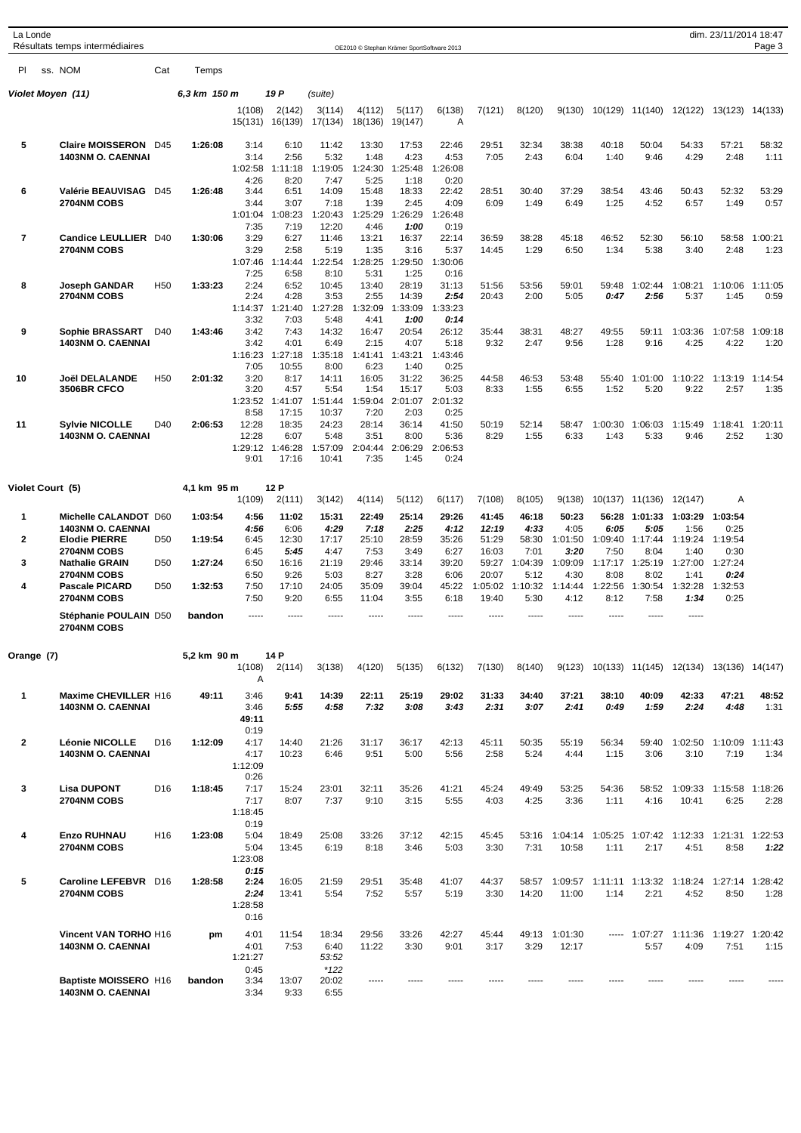| La Londe          | Résultats temps intermédiaires                   |                 |              |                   |                   |                   | OE2010 © Stephan Krämer SportSoftware 2013 |                   |                 |                  |                 |                 |                           |                 |                                                | dim. 23/11/2014 18:47 | Page 3          |
|-------------------|--------------------------------------------------|-----------------|--------------|-------------------|-------------------|-------------------|--------------------------------------------|-------------------|-----------------|------------------|-----------------|-----------------|---------------------------|-----------------|------------------------------------------------|-----------------------|-----------------|
| PI.               | ss. NOM                                          | Cat             | Temps        |                   |                   |                   |                                            |                   |                 |                  |                 |                 |                           |                 |                                                |                       |                 |
| Violet Moyen (11) |                                                  |                 | 6,3 km 150 m |                   | 19 P              | (suite)           |                                            |                   |                 |                  |                 |                 |                           |                 |                                                |                       |                 |
|                   |                                                  |                 |              | 1(108)<br>15(131) | 2(142)<br>16(139) | 3(114)<br>17(134) | 4(112)<br>18(136)                          | 5(117)<br>19(147) | 6(138)<br>A     | 7(121)           | 8(120)          | 9(130)          |                           | 10(129) 11(140) | 12(122)                                        | 13(123) 14(133)       |                 |
| 5                 | Claire MOISSERON D45                             |                 | 1:26:08      | 3:14              | 6:10              | 11:42             | 13:30                                      | 17:53             | 22:46           | 29:51            | 32:34           | 38:38           | 40:18                     | 50:04           | 54:33                                          | 57:21                 | 58:32           |
|                   | <b>1403NM O. CAENNAI</b>                         |                 |              | 3:14              | 2:56              | 5:32              | 1:48                                       | 4:23              | 4:53            | 7:05             | 2:43            | 6:04            | 1:40                      | 9:46            | 4:29                                           | 2:48                  | 1:11            |
|                   |                                                  |                 |              | 1:02:58<br>4:26   | 1:11:18<br>8:20   | 1:19:05<br>7:47   | 1:24:30<br>5:25                            | 1:25:48<br>1:18   | 1:26:08<br>0:20 |                  |                 |                 |                           |                 |                                                |                       |                 |
| 6                 | Valérie BEAUVISAG D45                            |                 | 1:26:48      | 3:44              | 6:51              | 14:09             | 15:48                                      | 18:33             | 22:42           | 28:51            | 30:40           | 37:29           | 38:54                     | 43:46           | 50:43                                          | 52:32                 | 53:29           |
|                   | 2704NM COBS                                      |                 |              | 3:44              | 3:07              | 7:18              | 1:39                                       | 2:45              | 4:09            | 6:09             | 1:49            | 6:49            | 1:25                      | 4:52            | 6:57                                           | 1:49                  | 0:57            |
|                   |                                                  |                 |              | 1:01:04<br>7:35   | 1:08:23<br>7:19   | 1:20:43<br>12:20  | 1:25:29<br>4:46                            | 1:26:29<br>1:00   | 1:26:48<br>0:19 |                  |                 |                 |                           |                 |                                                |                       |                 |
| 7                 | <b>Candice LEULLIER D40</b>                      |                 | 1:30:06      | 3:29              | 6:27              | 11:46             | 13:21                                      | 16:37             | 22:14           | 36:59            | 38:28           | 45:18           | 46:52                     | 52:30           | 56:10                                          | 58:58                 | 1:00:21         |
|                   | 2704NM COBS                                      |                 |              | 3:29              | 2:58              | 5:19              | 1:35                                       | 3:16              | 5:37            | 14:45            | 1:29            | 6:50            | 1:34                      | 5:38            | 3:40                                           | 2:48                  | 1:23            |
|                   |                                                  |                 |              | 1:07:46<br>7:25   | 1:14:44<br>6:58   | 1:22:54<br>8:10   | 1:28:25<br>5:31                            | 1:29:50<br>1:25   | 1:30:06<br>0:16 |                  |                 |                 |                           |                 |                                                |                       |                 |
| 8                 | <b>Joseph GANDAR</b>                             | H <sub>50</sub> | 1:33:23      | 2:24              | 6:52              | 10:45             | 13:40                                      | 28:19             | 31:13           | 51:56            | 53:56           | 59:01           | 59:48                     | 1:02:44         | 1:08:21                                        | 1:10:06               | 1:11:05         |
|                   | <b>2704NM COBS</b>                               |                 |              | 2:24              | 4:28              | 3:53              | 2:55                                       | 14:39             | 2:54            | 20:43            | 2:00            | 5:05            | 0:47                      | 2:56            | 5:37                                           | 1:45                  | 0:59            |
|                   |                                                  |                 |              | 1:14:37<br>3:32   | 1:21:40<br>7:03   | 1:27:28<br>5:48   | 1:32:09<br>4:41                            | 1:33:09<br>1:00   | 1:33:23<br>0:14 |                  |                 |                 |                           |                 |                                                |                       |                 |
| 9                 | <b>Sophie BRASSART</b>                           | D40             | 1:43:46      | 3:42              | 7:43              | 14:32             | 16:47                                      | 20:54             | 26:12           | 35:44            | 38:31           | 48:27           | 49:55                     | 59:11           | 1:03:36                                        | 1:07:58               | 1:09:18         |
|                   | <b>1403NM O. CAENNAI</b>                         |                 |              | 3:42              | 4:01              | 6:49              | 2:15                                       | 4:07              | 5:18            | 9:32             | 2:47            | 9:56            | 1:28                      | 9:16            | 4:25                                           | 4:22                  | 1:20            |
|                   |                                                  |                 |              | 1:16:23<br>7:05   | 1:27:18<br>10:55  | 1:35:18<br>8:00   | 1:41:41<br>6:23                            | 1:43:21<br>1:40   | 1:43:46<br>0:25 |                  |                 |                 |                           |                 |                                                |                       |                 |
| 10                | <b>Joël DELALANDE</b>                            | H <sub>50</sub> | 2:01:32      | 3:20              | 8:17              | 14:11             | 16:05                                      | 31:22             | 36:25           | 44:58            | 46:53           | 53:48           | 55:40                     | 1:01:00         | 1:10:22                                        | 1:13:19               | 1:14:54         |
|                   | <b>3506BR CFCO</b>                               |                 |              | 3:20              | 4:57              | 5:54              | 1:54                                       | 15:17             | 5:03            | 8:33             | 1:55            | 6:55            | 1:52                      | 5:20            | 9:22                                           | 2:57                  | 1:35            |
|                   |                                                  |                 |              | 1:23:52           | 1:41:07           | 1:51:44           | 1:59:04                                    | 2:01:07           | 2:01:32         |                  |                 |                 |                           |                 |                                                |                       |                 |
| 11                | <b>Sylvie NICOLLE</b>                            | D40             | 2:06:53      | 8:58<br>12:28     | 17:15<br>18:35    | 10:37<br>24:23    | 7:20<br>28:14                              | 2:03<br>36:14     | 0:25<br>41:50   | 50:19            | 52:14           | 58:47           | 1:00:30                   | 1:06:03         | 1:15:49                                        | 1:18:41               | 1:20:11         |
|                   | 1403NM O. CAENNAI                                |                 |              | 12:28             | 6:07              | 5:48              | 3:51                                       | 8:00              | 5:36            | 8:29             | 1:55            | 6:33            | 1:43                      | 5:33            | 9:46                                           | 2:52                  | 1:30            |
|                   |                                                  |                 |              | 1:29:12<br>9:01   | 1:46:28<br>17:16  | 1:57:09<br>10:41  | 2:04:44<br>7:35                            | 2:06:29<br>1:45   | 2:06:53<br>0:24 |                  |                 |                 |                           |                 |                                                |                       |                 |
| Violet Court (5)  |                                                  |                 | 4,1 km 95 m  |                   | 12 P              |                   |                                            |                   |                 |                  |                 |                 |                           |                 |                                                |                       |                 |
|                   |                                                  |                 |              | 1(109)            | 2(111)            | 3(142)            | 4(114)                                     | 5(112)            | 6(117)          | 7(108)           | 8(105)          | 9(138)          |                           | 10(137) 11(136) | 12(147)                                        | Α                     |                 |
| 1                 | Michelle CALANDOT D60                            |                 | 1:03:54      | 4:56              | 11:02             | 15:31             | 22:49                                      | 25:14             | 29:26           | 41:45            | 46:18           | 50:23           |                           | 56:28 1:01:33   | 1:03:29                                        | 1:03:54               |                 |
|                   | <b>1403NM O. CAENNAI</b>                         |                 |              | 4:56              | 6:06              | 4:29              | 7:18                                       | 2:25              | 4:12            | 12:19            | 4:33            | 4:05            | 6:05                      | 5:05            | 1:56                                           | 0:25                  |                 |
| 2                 | <b>Elodie PIERRE</b>                             | D <sub>50</sub> | 1:19:54      | 6:45              | 12:30             | 17:17             | 25:10                                      | 28:59             | 35:26           | 51:29            | 58:30           | 1:01:50         | 1:09:40                   | 1:17:44         | 1:19:24                                        | 1:19:54               |                 |
| 3                 | <b>2704NM COBS</b><br><b>Nathalie GRAIN</b>      | D <sub>50</sub> | 1:27:24      | 6:45<br>6:50      | 5:45<br>16:16     | 4:47<br>21:19     | 7:53<br>29:46                              | 3:49<br>33:14     | 6:27<br>39:20   | 16:03<br>59:27   | 7:01<br>1:04:39 | 3:20<br>1:09:09 | 7:50<br>1:17:17           | 8:04<br>1:25:19 | 1:40<br>1:27:00                                | 0:30<br>1:27:24       |                 |
|                   | <b>2704NM COBS</b>                               |                 |              | 6:50              | 9:26              | 5:03              | 8:27                                       | 3:28              | 6:06            | 20:07            | 5:12            | 4:30            | 8:08                      | 8:02            | 1:41                                           | 0:24                  |                 |
| 4                 | <b>Pascale PICARD</b><br><b>2704NM COBS</b>      | D <sub>50</sub> | 1:32:53      | 7:50<br>7:50      | 17:10<br>9:20     | 24:05<br>6:55     | 35:09<br>11:04                             | 39:04<br>3:55     | 45:22<br>6:18   | 1:05:02<br>19:40 | 1:10:32<br>5:30 | 1:14:44<br>4:12 | 1:22:56<br>8:12           | 1:30:54<br>7:58 | 1:32:28<br>1:34                                | 1:32:53<br>0:25       |                 |
|                   | Stéphanie POULAIN D50<br>2704NM COBS             |                 | bandon       | -----             |                   |                   |                                            |                   |                 |                  |                 |                 |                           |                 | -----                                          |                       |                 |
| Orange (7)        |                                                  |                 | 5,2 km 90 m  |                   | 14 P              |                   |                                            |                   |                 |                  |                 |                 |                           |                 |                                                |                       |                 |
|                   |                                                  |                 |              | 1(108)<br>Α       | 2(114)            | 3(138)            | 4(120)                                     | 5(135)            | 6(132)          | 7(130)           | 8(140)          |                 |                           |                 | 9(123) 10(133) 11(145) 12(134) 13(136) 14(147) |                       |                 |
| 1                 | Maxime CHEVILLER H16<br><b>1403NM O. CAENNAI</b> |                 | 49:11        | 3:46              | 9:41              | 14:39             | 22:11                                      | 25:19             | 29:02           | 31:33            | 34:40           | 37:21<br>2:41   | 38:10                     | 40:09           | 42:33                                          | 47:21                 | 48:52           |
|                   |                                                  |                 |              | 3:46<br>49:11     | 5:55              | 4:58              | 7:32                                       | 3:08              | 3:43            | 2:31             | 3:07            |                 | 0:49                      | 1:59            | 2:24                                           | 4:48                  | 1:31            |
|                   |                                                  |                 |              | 0:19              |                   |                   |                                            |                   |                 |                  |                 |                 |                           |                 |                                                |                       |                 |
| $\mathbf{2}$      | <b>Léonie NICOLLE</b><br>1403NM O. CAENNAI       | D <sub>16</sub> | 1:12:09      | 4:17<br>4:17      | 14:40<br>10:23    | 21:26<br>6:46     | 31:17<br>9:51                              | 36:17<br>5:00     | 42:13<br>5:56   | 45:11<br>2:58    | 50:35<br>5:24   | 55:19<br>4:44   | 56:34<br>1:15             | 59:40<br>3:06   | 1:02:50<br>3:10                                | 1:10:09<br>7:19       | 1:11:43<br>1:34 |
|                   |                                                  |                 |              | 1:12:09           |                   |                   |                                            |                   |                 |                  |                 |                 |                           |                 |                                                |                       |                 |
|                   |                                                  |                 |              | 0:26              |                   |                   |                                            |                   |                 |                  |                 |                 |                           |                 |                                                |                       |                 |
| 3                 | <b>Lisa DUPONT</b><br>2704NM COBS                | D <sub>16</sub> | 1:18:45      | 7:17<br>7:17      | 15:24<br>8:07     | 23:01<br>7:37     | 32:11<br>9:10                              | 35:26<br>3:15     | 41:21<br>5:55   | 45:24<br>4:03    | 49:49<br>4:25   | 53:25<br>3:36   | 54:36<br>1:11             | 58:52<br>4:16   | 1:09:33<br>10:41                               | 1:15:58<br>6:25       | 1:18:26<br>2:28 |
|                   |                                                  |                 |              | 1:18:45           |                   |                   |                                            |                   |                 |                  |                 |                 |                           |                 |                                                |                       |                 |
|                   |                                                  |                 |              | 0:19              |                   |                   |                                            |                   |                 |                  |                 |                 |                           |                 |                                                |                       |                 |
| 4                 | Enzo RUHNAU                                      | H <sub>16</sub> | 1:23:08      | 5:04              | 18:49             | 25:08             | 33:26                                      | 37:12             | 42:15           | 45:45            | 53:16           | 1:04:14         | 1:05:25                   |                 | 1:07:42 1:12:33                                | 1:21:31               | 1:22:53         |
|                   | <b>2704NM COBS</b>                               |                 |              | 5:04<br>1:23:08   | 13:45             | 6:19              | 8:18                                       | 3:46              | 5:03            | 3:30             | 7:31            | 10:58           | 1:11                      | 2:17            | 4:51                                           | 8:58                  | 1:22            |
|                   |                                                  |                 |              | 0:15              |                   |                   |                                            |                   |                 |                  |                 |                 |                           |                 |                                                |                       |                 |
| 5                 | Caroline LEFEBVR D16                             |                 | 1:28:58      | 2:24              | 16:05             | 21:59             | 29:51                                      | 35:48             | 41:07           | 44:37            | 58:57           | 1:09:57         | 1:11:11  1:13:32  1:18:24 |                 |                                                | 1:27:14               | 1:28:42         |
|                   | 2704NM COBS                                      |                 |              | 2:24<br>1:28:58   | 13:41             | 5:54              | 7:52                                       | 5:57              | 5:19            | 3:30             | 14:20           | 11:00           | 1:14                      | 2:21            | 4:52                                           | 8:50                  | 1:28            |
|                   |                                                  |                 |              | 0:16              |                   |                   |                                            |                   |                 |                  |                 |                 |                           |                 |                                                |                       |                 |
|                   | <b>Vincent VAN TORHO H16</b>                     |                 | pm           | 4:01              | 11:54             | 18:34             | 29:56                                      | 33:26             | 42:27           | 45:44            | 49:13           | 1:01:30         | -----                     | 1:07:27         | 1:11:36                                        | 1:19:27 1:20:42       |                 |
|                   | <b>1403NM O. CAENNAI</b>                         |                 |              | 4:01              | 7:53              | 6:40              | 11:22                                      | 3:30              | 9:01            | 3:17             | 3:29            | 12:17           |                           | 5:57            | 4:09                                           | 7:51                  | 1:15            |
|                   |                                                  |                 |              | 1:21:27           |                   | 53:52             |                                            |                   |                 |                  |                 |                 |                           |                 |                                                |                       |                 |
|                   | <b>Baptiste MOISSERO H16</b>                     |                 | bandon       | 0:45<br>3:34      | 13:07             | $*122$<br>20:02   | -----                                      |                   |                 |                  |                 |                 |                           |                 |                                                |                       |                 |
|                   | 1403NM O. CAENNAI                                |                 |              | 3:34              | 9:33              | 6:55              |                                            |                   |                 |                  |                 |                 |                           |                 |                                                |                       |                 |